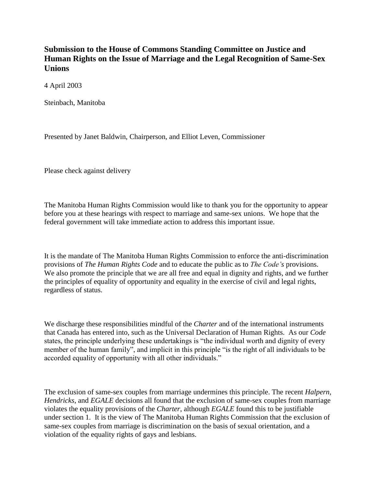## **Submission to the House of Commons Standing Committee on Justice and Human Rights on the Issue of Marriage and the Legal Recognition of Same-Sex Unions**

4 April 2003

Steinbach, Manitoba

Presented by Janet Baldwin, Chairperson, and Elliot Leven, Commissioner

Please check against delivery

The Manitoba Human Rights Commission would like to thank you for the opportunity to appear before you at these hearings with respect to marriage and same-sex unions. We hope that the federal government will take immediate action to address this important issue.

It is the mandate of The Manitoba Human Rights Commission to enforce the anti-discrimination provisions of *The Human Rights Code* and to educate the public as to *The Code's* provisions. We also promote the principle that we are all free and equal in dignity and rights, and we further the principles of equality of opportunity and equality in the exercise of civil and legal rights, regardless of status.

We discharge these responsibilities mindful of the *Charter* and of the international instruments that Canada has entered into, such as the Universal Declaration of Human Rights. As our *Code*  states, the principle underlying these undertakings is "the individual worth and dignity of every member of the human family", and implicit in this principle "is the right of all individuals to be accorded equality of opportunity with all other individuals."

The exclusion of same-sex couples from marriage undermines this principle. The recent *Halpern*, *Hendricks*, and *EGALE* decisions all found that the exclusion of same-sex couples from marriage violates the equality provisions of the *Charter*, although *EGALE* found this to be justifiable under section 1*.* It is the view of The Manitoba Human Rights Commission that the exclusion of same-sex couples from marriage is discrimination on the basis of sexual orientation, and a violation of the equality rights of gays and lesbians.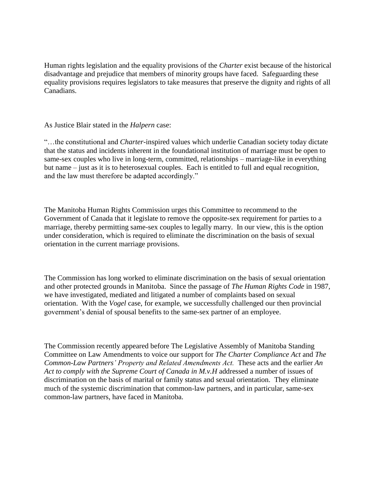Human rights legislation and the equality provisions of the *Charter* exist because of the historical disadvantage and prejudice that members of minority groups have faced. Safeguarding these equality provisions requires legislators to take measures that preserve the dignity and rights of all Canadians.

## As Justice Blair stated in the *Halpern* case:

"…the constitutional and *Charter*-inspired values which underlie Canadian society today dictate that the status and incidents inherent in the foundational institution of marriage must be open to same-sex couples who live in long-term, committed, relationships – marriage-like in everything but name – just as it is to heterosexual couples. Each is entitled to full and equal recognition, and the law must therefore be adapted accordingly."

The Manitoba Human Rights Commission urges this Committee to recommend to the Government of Canada that it legislate to remove the opposite-sex requirement for parties to a marriage, thereby permitting same-sex couples to legally marry. In our view, this is the option under consideration, which is required to eliminate the discrimination on the basis of sexual orientation in the current marriage provisions.

The Commission has long worked to eliminate discrimination on the basis of sexual orientation and other protected grounds in Manitoba. Since the passage of *The Human Rights Code* in 1987*,*  we have investigated, mediated and litigated a number of complaints based on sexual orientation. With the *Vogel* case, for example, we successfully challenged our then provincial government's denial of spousal benefits to the same-sex partner of an employee.

The Commission recently appeared before The Legislative Assembly of Manitoba Standing Committee on Law Amendments to voice our support for *The Charter Compliance Act* and *The Common-Law Partners' Property and Related Amendments Act.* These acts and the earlier *An Act to comply with the Supreme Court of Canada in M.v.H* addressed a number of issues of discrimination on the basis of marital or family status and sexual orientation. They eliminate much of the systemic discrimination that common-law partners, and in particular, same-sex common-law partners, have faced in Manitoba.